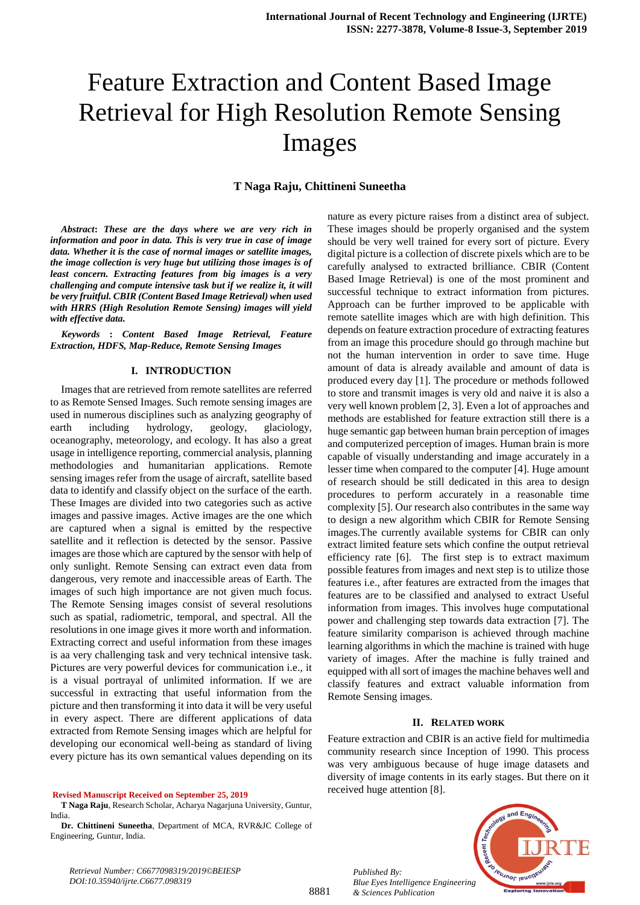# Feature Extraction and Content Based Image Retrieval for High Resolution Remote Sensing Images

# **T Naga Raju, Chittineni Suneetha**

*Abstract***:** *These are the days where we are very rich in information and poor in data. This is very true in case of image data. Whether it is the case of normal images or satellite images, the image collection is very huge but utilizing those images is of least concern. Extracting features from big images is a very challenging and compute intensive task but if we realize it, it will be very fruitful. CBIR (Content Based Image Retrieval) when used with HRRS (High Resolution Remote Sensing) images will yield with effective data.*

*Keywords* **:** *Content Based Image Retrieval, Feature Extraction, HDFS, Map-Reduce, Remote Sensing Images*

#### **I. INTRODUCTION**

Images that are retrieved from remote satellites are referred to as Remote Sensed Images. Such remote sensing images are used in numerous disciplines such as analyzing geography of earth including hydrology, geology, glaciology, oceanography, meteorology, and ecology. It has also a great usage in intelligence reporting, commercial analysis, planning methodologies and humanitarian applications. Remote sensing images refer from the usage of aircraft, satellite based data to identify and classify object on the surface of the earth. These Images are divided into two categories such as active images and passive images. Active images are the one which are captured when a signal is emitted by the respective satellite and it reflection is detected by the sensor. Passive images are those which are captured by the sensor with help of only sunlight. Remote Sensing can extract even data from dangerous, very remote and inaccessible areas of Earth. The images of such high importance are not given much focus. The Remote Sensing images consist of several resolutions such as spatial, radiometric, temporal, and spectral. All the resolutions in one image gives it more worth and information. Extracting correct and useful information from these images is aa very challenging task and very technical intensive task. Pictures are very powerful devices for communication i.e., it is a visual portrayal of unlimited information. If we are successful in extracting that useful information from the picture and then transforming it into data it will be very useful in every aspect. There are different applications of data extracted from Remote Sensing images which are helpful for developing our economical well-being as standard of living every picture has its own semantical values depending on its

**Revised Manuscript Received on September 25, 2019**

*Retrieval Number: C6677098319/2019©BEIESP DOI:10.35940/ijrte.C6677.098319*

nature as every picture raises from a distinct area of subject. These images should be properly organised and the system should be very well trained for every sort of picture. Every digital picture is a collection of discrete pixels which are to be carefully analysed to extracted brilliance. CBIR (Content Based Image Retrieval) is one of the most prominent and successful technique to extract information from pictures. Approach can be further improved to be applicable with remote satellite images which are with high definition. This depends on feature extraction procedure of extracting features from an image this procedure should go through machine but not the human intervention in order to save time. Huge amount of data is already available and amount of data is produced every day [1]. The procedure or methods followed to store and transmit images is very old and naive it is also a very well known problem [2, 3]. Even a lot of approaches and methods are established for feature extraction still there is a huge semantic gap between human brain perception of images and computerized perception of images. Human brain is more capable of visually understanding and image accurately in a lesser time when compared to the computer [4]. Huge amount of research should be still dedicated in this area to design procedures to perform accurately in a reasonable time complexity [5]. Our research also contributes in the same way to design a new algorithm which CBIR for Remote Sensing images.The currently available systems for CBIR can only extract limited feature sets which confine the output retrieval efficiency rate [6]. The first step is to extract maximum possible features from images and next step is to utilize those features i.e., after features are extracted from the images that features are to be classified and analysed to extract Useful information from images. This involves huge computational power and challenging step towards data extraction [7]. The feature similarity comparison is achieved through machine learning algorithms in which the machine is trained with huge variety of images. After the machine is fully trained and equipped with all sort of images the machine behaves well and classify features and extract valuable information from Remote Sensing images.

#### **II. RELATED WORK**

Feature extraction and CBIR is an active field for multimedia community research since Inception of 1990. This process was very ambiguous because of huge image datasets and diversity of image contents in its early stages. But there on it received huge attention [8].



*Published By: Blue Eyes Intelligence Engineering & Sciences Publication* 

**T Naga Raju**, Research Scholar, Acharya Nagarjuna University, Guntur, India.

**Dr. Chittineni Suneetha**, Department of MCA, RVR&JC College of Engineering, Guntur, India.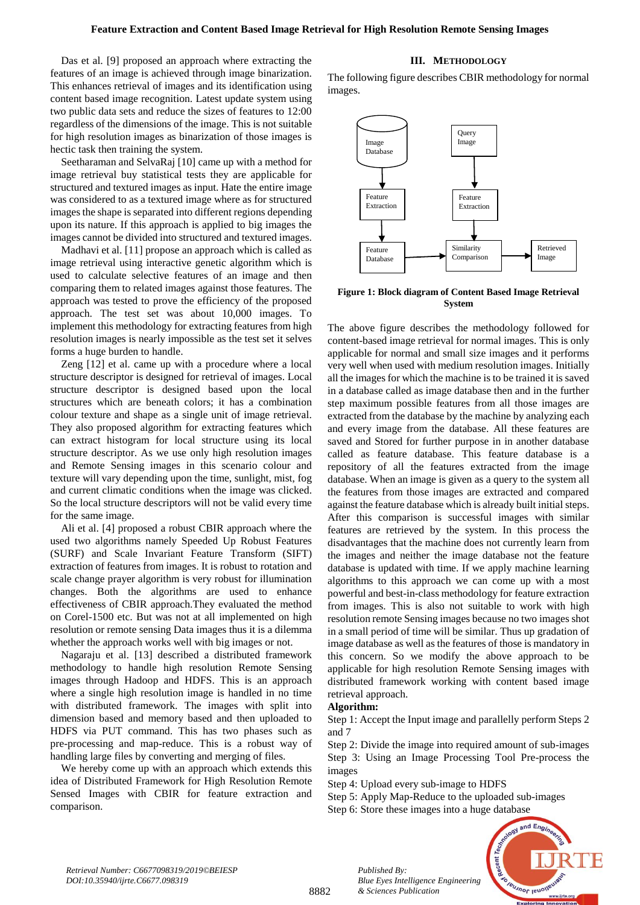Das et al. [9] proposed an approach where extracting the features of an image is achieved through image binarization. This enhances retrieval of images and its identification using content based image recognition. Latest update system using two public data sets and reduce the sizes of features to 12:00 regardless of the dimensions of the image. This is not suitable for high resolution images as binarization of those images is hectic task then training the system.

Seetharaman and SelvaRaj [10] came up with a method for image retrieval buy statistical tests they are applicable for structured and textured images as input. Hate the entire image was considered to as a textured image where as for structured images the shape is separated into different regions depending upon its nature. If this approach is applied to big images the images cannot be divided into structured and textured images.

Madhavi et al. [11] propose an approach which is called as image retrieval using interactive genetic algorithm which is used to calculate selective features of an image and then comparing them to related images against those features. The approach was tested to prove the efficiency of the proposed approach. The test set was about 10,000 images. To implement this methodology for extracting features from high resolution images is nearly impossible as the test set it selves forms a huge burden to handle.

Zeng [12] et al. came up with a procedure where a local structure descriptor is designed for retrieval of images. Local structure descriptor is designed based upon the local structures which are beneath colors; it has a combination colour texture and shape as a single unit of image retrieval. They also proposed algorithm for extracting features which can extract histogram for local structure using its local structure descriptor. As we use only high resolution images and Remote Sensing images in this scenario colour and texture will vary depending upon the time, sunlight, mist, fog and current climatic conditions when the image was clicked. So the local structure descriptors will not be valid every time for the same image.

Ali et al. [4] proposed a robust CBIR approach where the used two algorithms namely Speeded Up Robust Features (SURF) and Scale Invariant Feature Transform (SIFT) extraction of features from images. It is robust to rotation and scale change prayer algorithm is very robust for illumination changes. Both the algorithms are used to enhance effectiveness of CBIR approach.They evaluated the method on Corel-1500 etc. But was not at all implemented on high resolution or remote sensing Data images thus it is a dilemma whether the approach works well with big images or not.

Nagaraju et al. [13] described a distributed framework methodology to handle high resolution Remote Sensing images through Hadoop and HDFS. This is an approach where a single high resolution image is handled in no time with distributed framework. The images with split into dimension based and memory based and then uploaded to HDFS via PUT command. This has two phases such as pre-processing and map-reduce. This is a robust way of handling large files by converting and merging of files.

We hereby come up with an approach which extends this idea of Distributed Framework for High Resolution Remote Sensed Images with CBIR for feature extraction and comparison.

# **III. METHODOLOGY**

The following figure describes CBIR methodology for normal images.



**Figure 1: Block diagram of Content Based Image Retrieval System**

The above figure describes the methodology followed for content-based image retrieval for normal images. This is only applicable for normal and small size images and it performs very well when used with medium resolution images. Initially all the images for which the machine is to be trained it is saved in a database called as image database then and in the further step maximum possible features from all those images are extracted from the database by the machine by analyzing each and every image from the database. All these features are saved and Stored for further purpose in in another database called as feature database. This feature database is a repository of all the features extracted from the image database. When an image is given as a query to the system all the features from those images are extracted and compared against the feature database which is already built initial steps. After this comparison is successful images with similar features are retrieved by the system. In this process the disadvantages that the machine does not currently learn from the images and neither the image database not the feature database is updated with time. If we apply machine learning algorithms to this approach we can come up with a most powerful and best-in-class methodology for feature extraction from images. This is also not suitable to work with high resolution remote Sensing images because no two images shot in a small period of time will be similar. Thus up gradation of image database as well as the features of those is mandatory in this concern. So we modify the above approach to be applicable for high resolution Remote Sensing images with distributed framework working with content based image retrieval approach.

# **Algorithm:**

Step 1: Accept the Input image and parallelly perform Steps 2 and 7

Step 2: Divide the image into required amount of sub-images Step 3: Using an Image Processing Tool Pre-process the images

Step 4: Upload every sub-image to HDFS

*Blue Eyes Intelligence Engineering* 

*Published By:*

*& Sciences Publication* 

Step 5: Apply Map-Reduce to the uploaded sub-images Step 6: Store these images into a huge database

> and  $E_{n\alpha}$ **IBUJNOT IBUON**

*Retrieval Number: C6677098319/2019©BEIESP DOI:10.35940/ijrte.C6677.098319*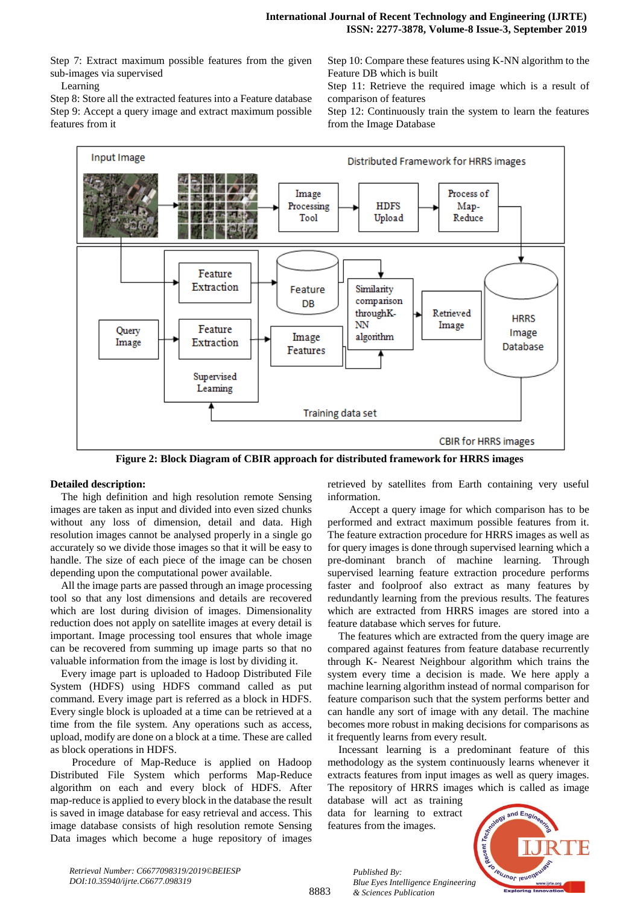Step 7: Extract maximum possible features from the given sub-images via supervised

Learning

Step 8: Store all the extracted features into a Feature database Step 9: Accept a query image and extract maximum possible features from it

Step 10: Compare these features using K-NN algorithm to the Feature DB which is built

Step 11: Retrieve the required image which is a result of comparison of features

Step 12: Continuously train the system to learn the features from the Image Database



**Figure 2: Block Diagram of CBIR approach for distributed framework for HRRS images**

# **Detailed description:**

The high definition and high resolution remote Sensing images are taken as input and divided into even sized chunks without any loss of dimension, detail and data. High resolution images cannot be analysed properly in a single go accurately so we divide those images so that it will be easy to handle. The size of each piece of the image can be chosen depending upon the computational power available.

All the image parts are passed through an image processing tool so that any lost dimensions and details are recovered which are lost during division of images. Dimensionality reduction does not apply on satellite images at every detail is important. Image processing tool ensures that whole image can be recovered from summing up image parts so that no valuable information from the image is lost by dividing it.

Every image part is uploaded to Hadoop Distributed File System (HDFS) using HDFS command called as put command. Every image part is referred as a block in HDFS. Every single block is uploaded at a time can be retrieved at a time from the file system. Any operations such as access, upload, modify are done on a block at a time. These are called as block operations in HDFS.

Procedure of Map-Reduce is applied on Hadoop Distributed File System which performs Map-Reduce algorithm on each and every block of HDFS. After map-reduce is applied to every block in the database the result is saved in image database for easy retrieval and access. This image database consists of high resolution remote Sensing Data images which become a huge repository of images retrieved by satellites from Earth containing very useful information.

Accept a query image for which comparison has to be performed and extract maximum possible features from it. The feature extraction procedure for HRRS images as well as for query images is done through supervised learning which a pre-dominant branch of machine learning. Through supervised learning feature extraction procedure performs faster and foolproof also extract as many features by redundantly learning from the previous results. The features which are extracted from HRRS images are stored into a feature database which serves for future.

The features which are extracted from the query image are compared against features from feature database recurrently through K- Nearest Neighbour algorithm which trains the system every time a decision is made. We here apply a machine learning algorithm instead of normal comparison for feature comparison such that the system performs better and can handle any sort of image with any detail. The machine becomes more robust in making decisions for comparisons as it frequently learns from every result.

Incessant learning is a predominant feature of this methodology as the system continuously learns whenever it extracts features from input images as well as query images. The repository of HRRS images which is called as image

database will act as training data for learning to extract features from the images.



*Retrieval Number: C6677098319/2019©BEIESP DOI:10.35940/ijrte.C6677.098319*

8883

*Published By: Blue Eyes Intelligence Engineering & Sciences Publication*